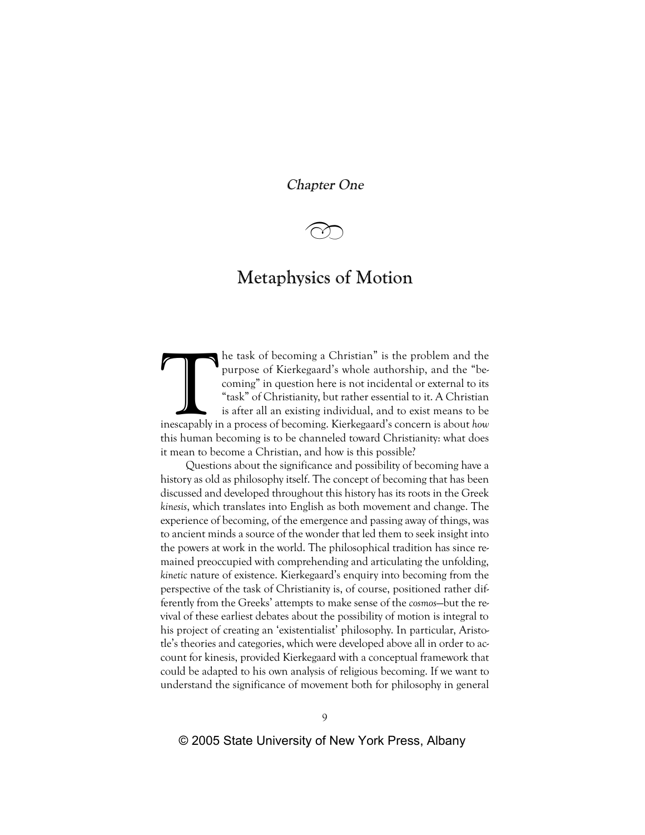## Chapter One



# Metaphysics of Motion

he task of becoming a Christian" is the problem and the purpose of Kierkegaard's whole authorship, and the "becoming" in question here is not incidental or external to its "task" of Christianity, but rather essential to it. A Christian is after all an existing individual, and to exist means to be inescapably in a process of becoming. Kierkegaard's concern is about *how* this human becoming is to be channeled toward Christianity: what does it mean to become a Christian, and how is this possible?

Questions about the significance and possibility of becoming have a history as old as philosophy itself. The concept of becoming that has been discussed and developed throughout this history has its roots in the Greek *kinesis*, which translates into English as both movement and change. The experience of becoming, of the emergence and passing away of things, was to ancient minds a source of the wonder that led them to seek insight into the powers at work in the world. The philosophical tradition has since remained preoccupied with comprehending and articulating the unfolding, *kinetic* nature of existence. Kierkegaard's enquiry into becoming from the perspective of the task of Christianity is, of course, positioned rather differently from the Greeks' attempts to make sense of the *cosmos*—but the revival of these earliest debates about the possibility of motion is integral to his project of creating an 'existentialist' philosophy. In particular, Aristotle's theories and categories, which were developed above all in order to account for kinesis, provided Kierkegaard with a conceptual framework that could be adapted to his own analysis of religious becoming. If we want to understand the significance of movement both for philosophy in general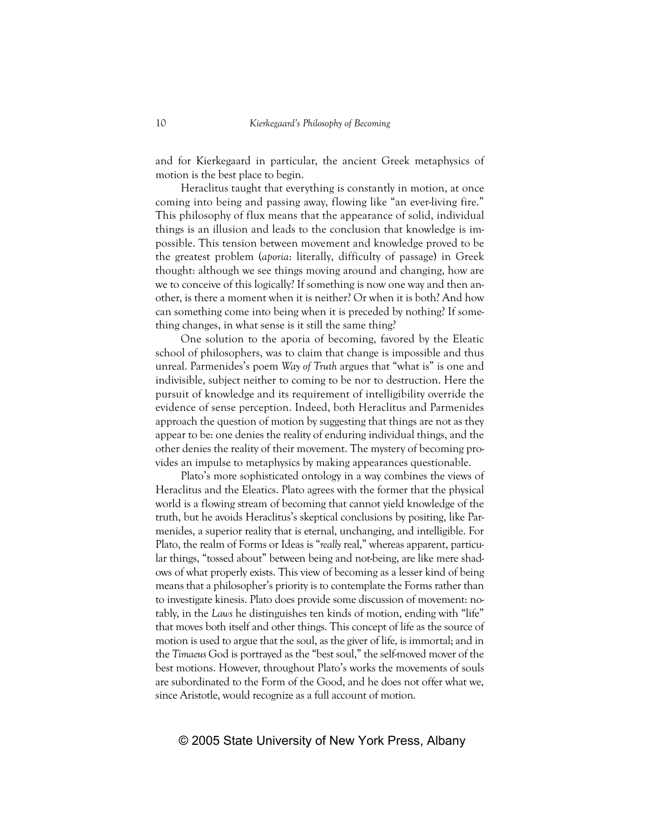and for Kierkegaard in particular, the ancient Greek metaphysics of motion is the best place to begin.

Heraclitus taught that everything is constantly in motion, at once coming into being and passing away, flowing like "an ever-living fire." This philosophy of flux means that the appearance of solid, individual things is an illusion and leads to the conclusion that knowledge is impossible. This tension between movement and knowledge proved to be the greatest problem (*aporia*: literally, difficulty of passage) in Greek thought: although we see things moving around and changing, how are we to conceive of this logically? If something is now one way and then another, is there a moment when it is neither? Or when it is both? And how can something come into being when it is preceded by nothing? If something changes, in what sense is it still the same thing?

One solution to the aporia of becoming, favored by the Eleatic school of philosophers, was to claim that change is impossible and thus unreal. Parmenides's poem *Way of Truth* argues that "what is" is one and indivisible, subject neither to coming to be nor to destruction. Here the pursuit of knowledge and its requirement of intelligibility override the evidence of sense perception. Indeed, both Heraclitus and Parmenides approach the question of motion by suggesting that things are not as they appear to be: one denies the reality of enduring individual things, and the other denies the reality of their movement. The mystery of becoming provides an impulse to metaphysics by making appearances questionable.

Plato's more sophisticated ontology in a way combines the views of Heraclitus and the Eleatics. Plato agrees with the former that the physical world is a flowing stream of becoming that cannot yield knowledge of the truth, but he avoids Heraclitus's skeptical conclusions by positing, like Parmenides, a superior reality that is eternal, unchanging, and intelligible. For Plato, the realm of Forms or Ideas is "*really* real," whereas apparent, particular things, "tossed about" between being and not-being, are like mere shadows of what properly exists. This view of becoming as a lesser kind of being means that a philosopher's priority is to contemplate the Forms rather than to investigate kinesis. Plato does provide some discussion of movement: notably, in the *Laws* he distinguishes ten kinds of motion, ending with "life" that moves both itself and other things. This concept of life as the source of motion is used to argue that the soul, as the giver of life, is immortal; and in the *Timaeus* God is portrayed as the "best soul," the self-moved mover of the best motions. However, throughout Plato's works the movements of souls are subordinated to the Form of the Good, and he does not offer what we, since Aristotle, would recognize as a full account of motion.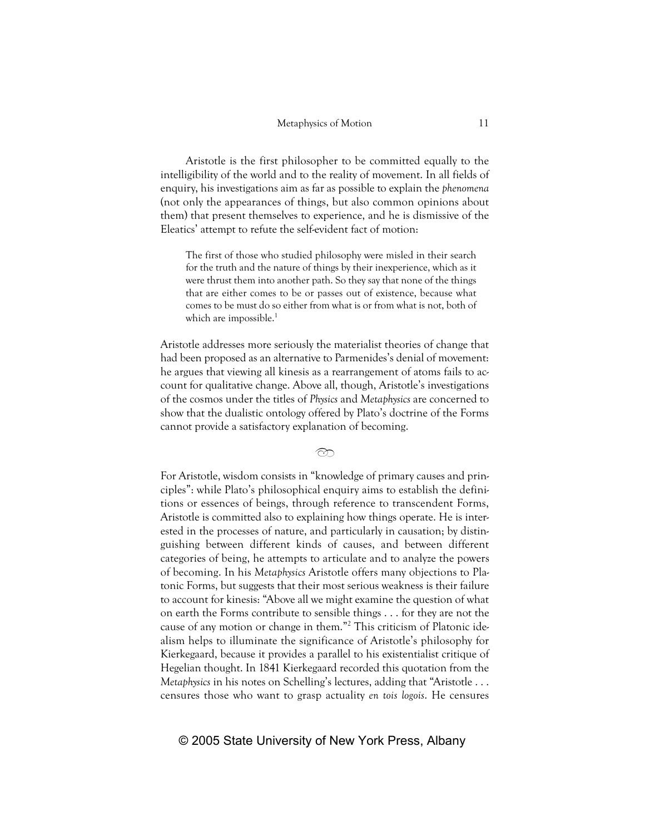Aristotle is the first philosopher to be committed equally to the intelligibility of the world and to the reality of movement. In all fields of enquiry, his investigations aim as far as possible to explain the *phenomena* (not only the appearances of things, but also common opinions about them) that present themselves to experience, and he is dismissive of the Eleatics' attempt to refute the self-evident fact of motion:

The first of those who studied philosophy were misled in their search for the truth and the nature of things by their inexperience, which as it were thrust them into another path. So they say that none of the things that are either comes to be or passes out of existence, because what comes to be must do so either from what is or from what is not, both of which are impossible. $<sup>1</sup>$ </sup>

Aristotle addresses more seriously the materialist theories of change that had been proposed as an alternative to Parmenides's denial of movement: he argues that viewing all kinesis as a rearrangement of atoms fails to account for qualitative change. Above all, though, Aristotle's investigations of the cosmos under the titles of *Physics* and *Metaphysics* are concerned to show that the dualistic ontology offered by Plato's doctrine of the Forms cannot provide a satisfactory explanation of becoming.

 $\infty$ 

For Aristotle, wisdom consists in "knowledge of primary causes and principles": while Plato's philosophical enquiry aims to establish the definitions or essences of beings, through reference to transcendent Forms, Aristotle is committed also to explaining how things operate. He is interested in the processes of nature, and particularly in causation; by distinguishing between different kinds of causes, and between different categories of being, he attempts to articulate and to analyze the powers of becoming. In his *Metaphysics* Aristotle offers many objections to Platonic Forms, but suggests that their most serious weakness is their failure to account for kinesis: "Above all we might examine the question of what on earth the Forms contribute to sensible things . . . for they are not the cause of any motion or change in them."2 This criticism of Platonic idealism helps to illuminate the significance of Aristotle's philosophy for Kierkegaard, because it provides a parallel to his existentialist critique of Hegelian thought. In 1841 Kierkegaard recorded this quotation from the *Metaphysics* in his notes on Schelling's lectures, adding that "Aristotle . . . censures those who want to grasp actuality *en tois logois*. He censures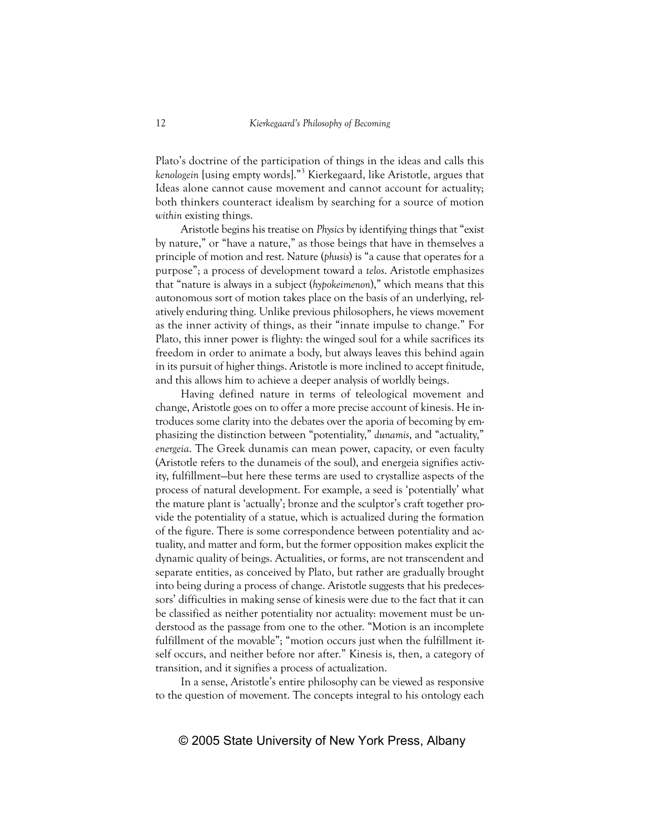Plato's doctrine of the participation of things in the ideas and calls this *kenologein* [using empty words]."3 Kierkegaard, like Aristotle, argues that Ideas alone cannot cause movement and cannot account for actuality; both thinkers counteract idealism by searching for a source of motion *within* existing things.

Aristotle begins his treatise on *Physics* by identifying things that "exist by nature," or "have a nature," as those beings that have in themselves a principle of motion and rest. Nature (*phusis*) is "a cause that operates for a purpose"; a process of development toward a *telos*. Aristotle emphasizes that "nature is always in a subject (*hypokeimenon*)," which means that this autonomous sort of motion takes place on the basis of an underlying, relatively enduring thing. Unlike previous philosophers, he views movement as the inner activity of things, as their "innate impulse to change." For Plato, this inner power is flighty: the winged soul for a while sacrifices its freedom in order to animate a body, but always leaves this behind again in its pursuit of higher things. Aristotle is more inclined to accept finitude, and this allows him to achieve a deeper analysis of worldly beings.

Having defined nature in terms of teleological movement and change, Aristotle goes on to offer a more precise account of kinesis. He introduces some clarity into the debates over the aporia of becoming by emphasizing the distinction between "potentiality," *dunamis*, and "actuality," *energeia*. The Greek dunamis can mean power, capacity, or even faculty (Aristotle refers to the dunameis of the soul), and energeia signifies activity, fulfillment—but here these terms are used to crystallize aspects of the process of natural development. For example, a seed is 'potentially' what the mature plant is 'actually'; bronze and the sculptor's craft together provide the potentiality of a statue, which is actualized during the formation of the figure. There is some correspondence between potentiality and actuality, and matter and form, but the former opposition makes explicit the dynamic quality of beings. Actualities, or forms, are not transcendent and separate entities, as conceived by Plato, but rather are gradually brought into being during a process of change. Aristotle suggests that his predecessors' difficulties in making sense of kinesis were due to the fact that it can be classified as neither potentiality nor actuality: movement must be understood as the passage from one to the other. "Motion is an incomplete fulfillment of the movable"; "motion occurs just when the fulfillment itself occurs, and neither before nor after." Kinesis is, then, a category of transition, and it signifies a process of actualization.

In a sense, Aristotle's entire philosophy can be viewed as responsive to the question of movement. The concepts integral to his ontology each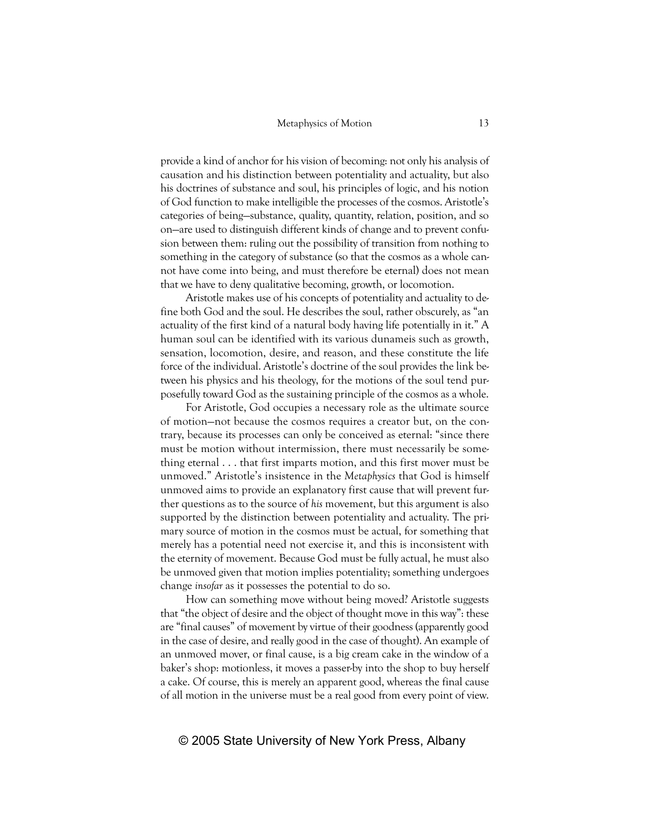provide a kind of anchor for his vision of becoming: not only his analysis of causation and his distinction between potentiality and actuality, but also his doctrines of substance and soul, his principles of logic, and his notion of God function to make intelligible the processes of the cosmos. Aristotle's categories of being—substance, quality, quantity, relation, position, and so on—are used to distinguish different kinds of change and to prevent confusion between them: ruling out the possibility of transition from nothing to something in the category of substance (so that the cosmos as a whole cannot have come into being, and must therefore be eternal) does not mean that we have to deny qualitative becoming, growth, or locomotion.

Aristotle makes use of his concepts of potentiality and actuality to define both God and the soul. He describes the soul, rather obscurely, as "an actuality of the first kind of a natural body having life potentially in it." A human soul can be identified with its various dunameis such as growth, sensation, locomotion, desire, and reason, and these constitute the life force of the individual. Aristotle's doctrine of the soul provides the link between his physics and his theology, for the motions of the soul tend purposefully toward God as the sustaining principle of the cosmos as a whole.

For Aristotle, God occupies a necessary role as the ultimate source of motion—not because the cosmos requires a creator but, on the contrary, because its processes can only be conceived as eternal: "since there must be motion without intermission, there must necessarily be something eternal . . . that first imparts motion, and this first mover must be unmoved." Aristotle's insistence in the *Metaphysics* that God is himself unmoved aims to provide an explanatory first cause that will prevent further questions as to the source of *his* movement, but this argument is also supported by the distinction between potentiality and actuality. The primary source of motion in the cosmos must be actual, for something that merely has a potential need not exercise it, and this is inconsistent with the eternity of movement. Because God must be fully actual, he must also be unmoved given that motion implies potentiality; something undergoes change *insofar* as it possesses the potential to do so.

How can something move without being moved? Aristotle suggests that "the object of desire and the object of thought move in this way": these are "final causes" of movement by virtue of their goodness (apparently good in the case of desire, and really good in the case of thought). An example of an unmoved mover, or final cause, is a big cream cake in the window of a baker's shop: motionless, it moves a passer-by into the shop to buy herself a cake. Of course, this is merely an apparent good, whereas the final cause of all motion in the universe must be a real good from every point of view.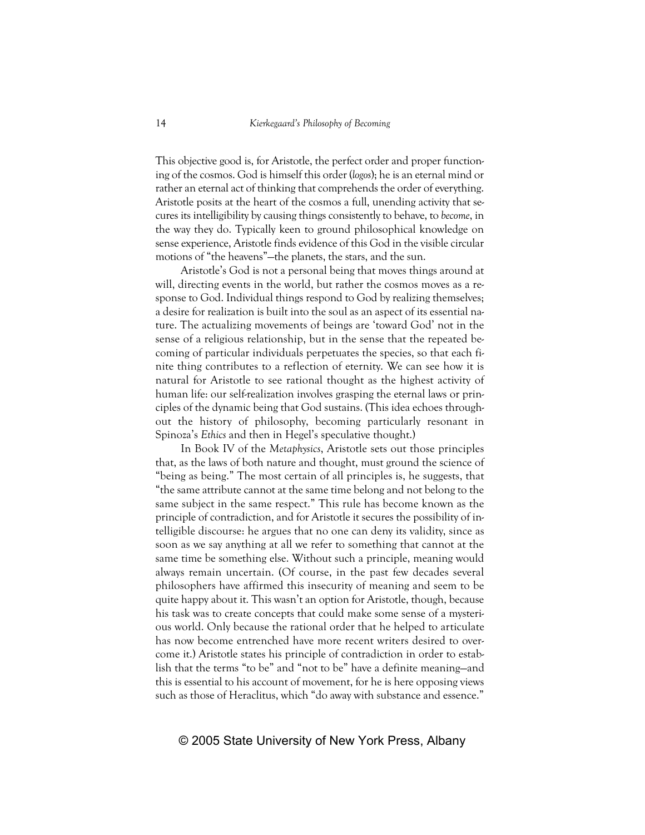This objective good is, for Aristotle, the perfect order and proper functioning of the cosmos. God is himself this order (*logos*); he is an eternal mind or rather an eternal act of thinking that comprehends the order of everything. Aristotle posits at the heart of the cosmos a full, unending activity that secures its intelligibility by causing things consistently to behave, to *become*, in the way they do. Typically keen to ground philosophical knowledge on sense experience, Aristotle finds evidence of this God in the visible circular motions of "the heavens"—the planets, the stars, and the sun.

Aristotle's God is not a personal being that moves things around at will, directing events in the world, but rather the cosmos moves as a response to God. Individual things respond to God by realizing themselves; a desire for realization is built into the soul as an aspect of its essential nature. The actualizing movements of beings are 'toward God' not in the sense of a religious relationship, but in the sense that the repeated becoming of particular individuals perpetuates the species, so that each finite thing contributes to a reflection of eternity. We can see how it is natural for Aristotle to see rational thought as the highest activity of human life: our self-realization involves grasping the eternal laws or principles of the dynamic being that God sustains. (This idea echoes throughout the history of philosophy, becoming particularly resonant in Spinoza's *Ethics* and then in Hegel's speculative thought.)

In Book IV of the *Metaphysics*, Aristotle sets out those principles that, as the laws of both nature and thought, must ground the science of "being as being." The most certain of all principles is, he suggests, that "the same attribute cannot at the same time belong and not belong to the same subject in the same respect." This rule has become known as the principle of contradiction, and for Aristotle it secures the possibility of intelligible discourse: he argues that no one can deny its validity, since as soon as we say anything at all we refer to something that cannot at the same time be something else. Without such a principle, meaning would always remain uncertain. (Of course, in the past few decades several philosophers have affirmed this insecurity of meaning and seem to be quite happy about it. This wasn't an option for Aristotle, though, because his task was to create concepts that could make some sense of a mysterious world. Only because the rational order that he helped to articulate has now become entrenched have more recent writers desired to overcome it.) Aristotle states his principle of contradiction in order to establish that the terms "to be" and "not to be" have a definite meaning—and this is essential to his account of movement, for he is here opposing views such as those of Heraclitus, which "do away with substance and essence."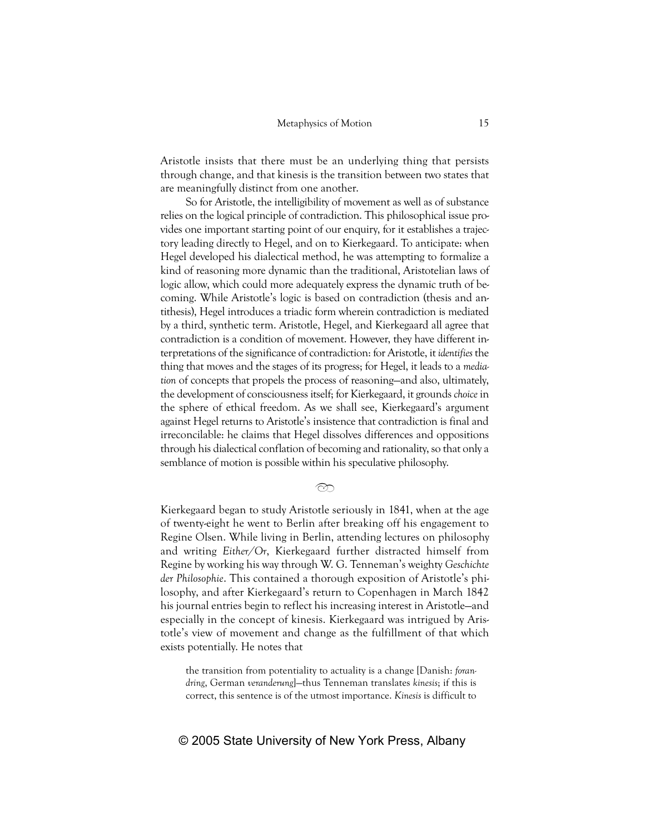Aristotle insists that there must be an underlying thing that persists through change, and that kinesis is the transition between two states that are meaningfully distinct from one another.

So for Aristotle, the intelligibility of movement as well as of substance relies on the logical principle of contradiction. This philosophical issue provides one important starting point of our enquiry, for it establishes a trajectory leading directly to Hegel, and on to Kierkegaard. To anticipate: when Hegel developed his dialectical method, he was attempting to formalize a kind of reasoning more dynamic than the traditional, Aristotelian laws of logic allow, which could more adequately express the dynamic truth of becoming. While Aristotle's logic is based on contradiction (thesis and antithesis), Hegel introduces a triadic form wherein contradiction is mediated by a third, synthetic term. Aristotle, Hegel, and Kierkegaard all agree that contradiction is a condition of movement. However, they have different interpretations of the significance of contradiction: for Aristotle, it *identifies* the thing that moves and the stages of its progress; for Hegel, it leads to a *mediation* of concepts that propels the process of reasoning—and also, ultimately, the development of consciousness itself; for Kierkegaard, it grounds *choice* in the sphere of ethical freedom. As we shall see, Kierkegaard's argument against Hegel returns to Aristotle's insistence that contradiction is final and irreconcilable: he claims that Hegel dissolves differences and oppositions through his dialectical conflation of becoming and rationality, so that only a semblance of motion is possible within his speculative philosophy.

 $\widehat{\infty}$ 

Kierkegaard began to study Aristotle seriously in 1841, when at the age of twenty-eight he went to Berlin after breaking off his engagement to Regine Olsen. While living in Berlin, attending lectures on philosophy and writing *Either/Or*, Kierkegaard further distracted himself from Regine by working his way through W. G. Tenneman's weighty *Geschichte der Philosophie*. This contained a thorough exposition of Aristotle's philosophy, and after Kierkegaard's return to Copenhagen in March 1842 his journal entries begin to reflect his increasing interest in Aristotle—and especially in the concept of kinesis. Kierkegaard was intrigued by Aristotle's view of movement and change as the fulfillment of that which exists potentially. He notes that

the transition from potentiality to actuality is a change [Danish: *forandring*, German *veranderung*]—thus Tenneman translates *kinesis*; if this is correct, this sentence is of the utmost importance. *Kinesis* is difficult to

### © 2005 State University of New York Press, Albany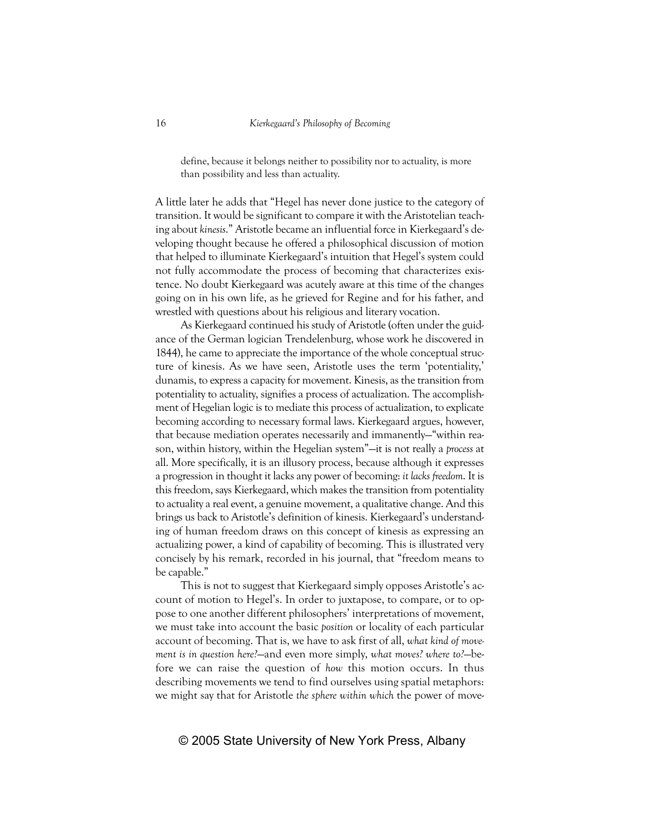define, because it belongs neither to possibility nor to actuality, is more than possibility and less than actuality.

A little later he adds that "Hegel has never done justice to the category of transition. It would be significant to compare it with the Aristotelian teaching about *kinesis*." Aristotle became an influential force in Kierkegaard's developing thought because he offered a philosophical discussion of motion that helped to illuminate Kierkegaard's intuition that Hegel's system could not fully accommodate the process of becoming that characterizes existence. No doubt Kierkegaard was acutely aware at this time of the changes going on in his own life, as he grieved for Regine and for his father, and wrestled with questions about his religious and literary vocation.

As Kierkegaard continued his study of Aristotle (often under the guidance of the German logician Trendelenburg, whose work he discovered in 1844), he came to appreciate the importance of the whole conceptual structure of kinesis. As we have seen, Aristotle uses the term 'potentiality,' dunamis, to express a capacity for movement. Kinesis, as the transition from potentiality to actuality, signifies a process of actualization. The accomplishment of Hegelian logic is to mediate this process of actualization, to explicate becoming according to necessary formal laws. Kierkegaard argues, however, that because mediation operates necessarily and immanently—"within reason, within history, within the Hegelian system"—it is not really a *process* at all. More specifically, it is an illusory process, because although it expresses a progression in thought it lacks any power of becoming: *it lacks freedom*. It is this freedom, says Kierkegaard, which makes the transition from potentiality to actuality a real event, a genuine movement, a qualitative change. And this brings us back to Aristotle's definition of kinesis. Kierkegaard's understanding of human freedom draws on this concept of kinesis as expressing an actualizing power, a kind of capability of becoming. This is illustrated very concisely by his remark, recorded in his journal, that "freedom means to be capable."

This is not to suggest that Kierkegaard simply opposes Aristotle's account of motion to Hegel's. In order to juxtapose, to compare, or to oppose to one another different philosophers' interpretations of movement, we must take into account the basic *position* or locality of each particular account of becoming. That is, we have to ask first of all, *what kind of movement is in question here?*—and even more simply, *what moves? where to?*—before we can raise the question of *how* this motion occurs. In thus describing movements we tend to find ourselves using spatial metaphors: we might say that for Aristotle *the sphere within which* the power of move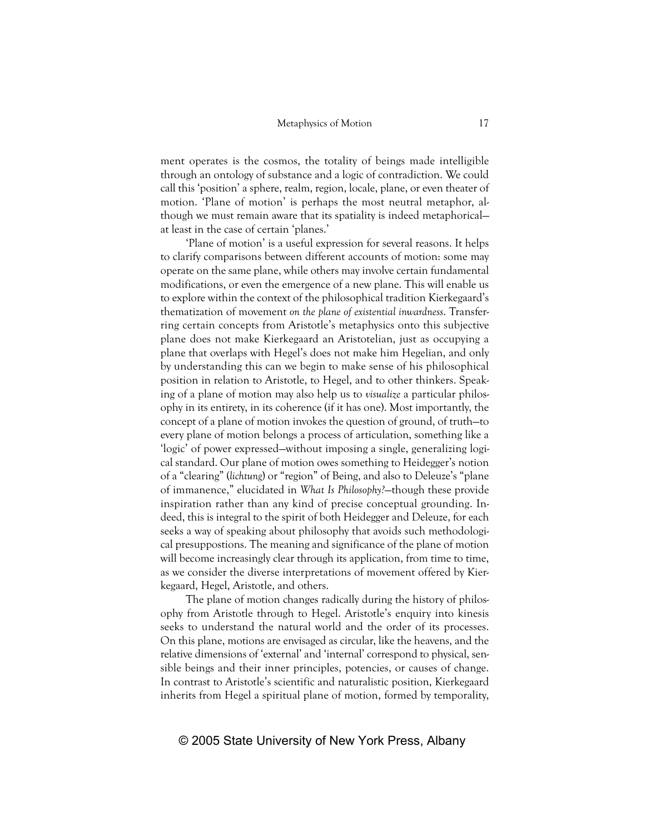ment operates is the cosmos, the totality of beings made intelligible through an ontology of substance and a logic of contradiction. We could call this 'position' a sphere, realm, region, locale, plane, or even theater of motion. 'Plane of motion' is perhaps the most neutral metaphor, although we must remain aware that its spatiality is indeed metaphorical at least in the case of certain 'planes.'

'Plane of motion' is a useful expression for several reasons. It helps to clarify comparisons between different accounts of motion: some may operate on the same plane, while others may involve certain fundamental modifications, or even the emergence of a new plane. This will enable us to explore within the context of the philosophical tradition Kierkegaard's thematization of movement *on the plane of existential inwardness*. Transferring certain concepts from Aristotle's metaphysics onto this subjective plane does not make Kierkegaard an Aristotelian, just as occupying a plane that overlaps with Hegel's does not make him Hegelian, and only by understanding this can we begin to make sense of his philosophical position in relation to Aristotle, to Hegel, and to other thinkers. Speaking of a plane of motion may also help us to *visualize* a particular philosophy in its entirety, in its coherence (if it has one). Most importantly, the concept of a plane of motion invokes the question of ground, of truth—to every plane of motion belongs a process of articulation, something like a 'logic' of power expressed—without imposing a single, generalizing logical standard. Our plane of motion owes something to Heidegger's notion of a "clearing" (*lichtung*) or "region" of Being, and also to Deleuze's "plane of immanence," elucidated in *What Is Philosophy?*—though these provide inspiration rather than any kind of precise conceptual grounding. Indeed, this is integral to the spirit of both Heidegger and Deleuze, for each seeks a way of speaking about philosophy that avoids such methodological presuppostions. The meaning and significance of the plane of motion will become increasingly clear through its application, from time to time, as we consider the diverse interpretations of movement offered by Kierkegaard, Hegel, Aristotle, and others.

The plane of motion changes radically during the history of philosophy from Aristotle through to Hegel. Aristotle's enquiry into kinesis seeks to understand the natural world and the order of its processes. On this plane, motions are envisaged as circular, like the heavens, and the relative dimensions of 'external' and 'internal' correspond to physical, sensible beings and their inner principles, potencies, or causes of change. In contrast to Aristotle's scientific and naturalistic position, Kierkegaard inherits from Hegel a spiritual plane of motion, formed by temporality,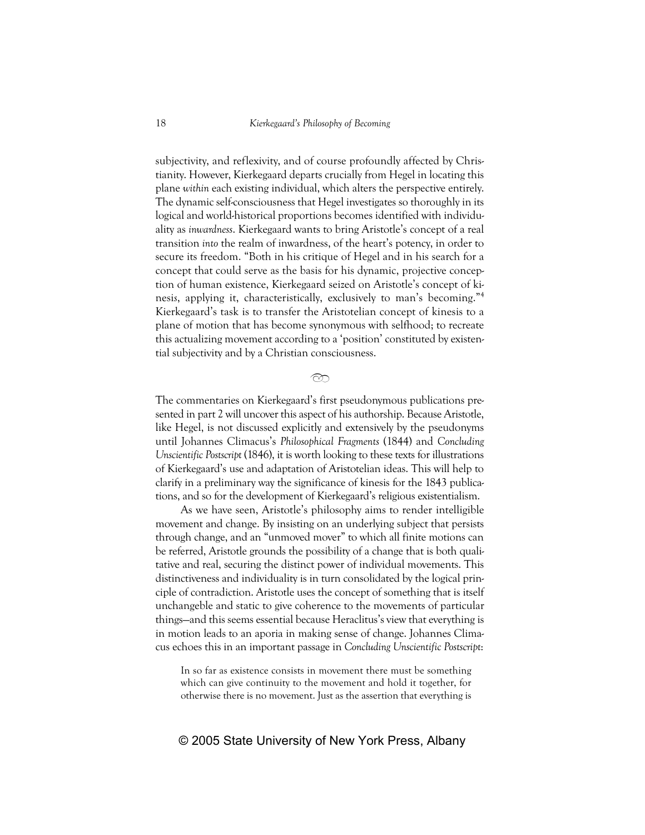subjectivity, and reflexivity, and of course profoundly affected by Christianity. However, Kierkegaard departs crucially from Hegel in locating this plane *within* each existing individual, which alters the perspective entirely. The dynamic self-consciousness that Hegel investigates so thoroughly in its logical and world-historical proportions becomes identified with individuality as *inwardness*. Kierkegaard wants to bring Aristotle's concept of a real transition *into* the realm of inwardness, of the heart's potency, in order to secure its freedom. "Both in his critique of Hegel and in his search for a concept that could serve as the basis for his dynamic, projective conception of human existence, Kierkegaard seized on Aristotle's concept of kinesi*s*, applying it, characteristically, exclusively to man's becoming."4 Kierkegaard's task is to transfer the Aristotelian concept of kinesis to a plane of motion that has become synonymous with selfhood; to recreate this actualizing movement according to a 'position' constituted by existential subjectivity and by a Christian consciousness.

The commentaries on Kierkegaard's first pseudonymous publications presented in part 2 will uncover this aspect of his authorship. Because Aristotle, like Hegel, is not discussed explicitly and extensively by the pseudonyms until Johannes Climacus's *Philosophical Fragments* (1844) and *Concluding Unscientific Postscript* (1846), it is worth looking to these texts for illustrations of Kierkegaard's use and adaptation of Aristotelian ideas. This will help to clarify in a preliminary way the significance of kinesis for the 1843 publications, and so for the development of Kierkegaard's religious existentialism.

 $\infty$ 

As we have seen, Aristotle's philosophy aims to render intelligible movement and change. By insisting on an underlying subject that persists through change, and an "unmoved mover" to which all finite motions can be referred, Aristotle grounds the possibility of a change that is both qualitative and real, securing the distinct power of individual movements. This distinctiveness and individuality is in turn consolidated by the logical principle of contradiction. Aristotle uses the concept of something that is itself unchangeble and static to give coherence to the movements of particular things—and this seems essential because Heraclitus's view that everything is in motion leads to an aporia in making sense of change. Johannes Climacus echoes this in an important passage in *Concluding Unscientific Postscript*:

In so far as existence consists in movement there must be something which can give continuity to the movement and hold it together, for otherwise there is no movement. Just as the assertion that everything is

### © 2005 State University of New York Press, Albany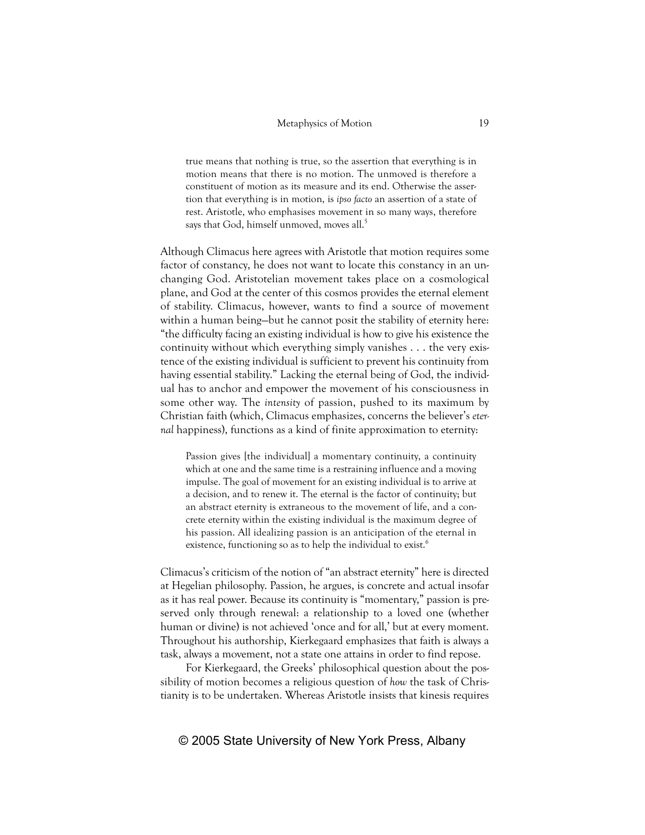true means that nothing is true, so the assertion that everything is in motion means that there is no motion. The unmoved is therefore a constituent of motion as its measure and its end. Otherwise the assertion that everything is in motion, is *ipso facto* an assertion of a state of rest. Aristotle, who emphasises movement in so many ways, therefore says that God, himself unmoved, moves all.<sup>5</sup>

Although Climacus here agrees with Aristotle that motion requires some factor of constancy, he does not want to locate this constancy in an unchanging God. Aristotelian movement takes place on a cosmological plane, and God at the center of this cosmos provides the eternal element of stability. Climacus, however, wants to find a source of movement within a human being—but he cannot posit the stability of eternity here: "the difficulty facing an existing individual is how to give his existence the continuity without which everything simply vanishes . . . the very existence of the existing individual is sufficient to prevent his continuity from having essential stability." Lacking the eternal being of God, the individual has to anchor and empower the movement of his consciousness in some other way. The *intensity* of passion, pushed to its maximum by Christian faith (which, Climacus emphasizes, concerns the believer's *eternal* happiness), functions as a kind of finite approximation to eternity:

Passion gives [the individual] a momentary continuity, a continuity which at one and the same time is a restraining influence and a moving impulse. The goal of movement for an existing individual is to arrive at a decision, and to renew it. The eternal is the factor of continuity; but an abstract eternity is extraneous to the movement of life, and a concrete eternity within the existing individual is the maximum degree of his passion. All idealizing passion is an anticipation of the eternal in existence, functioning so as to help the individual to exist.<sup>6</sup>

Climacus's criticism of the notion of "an abstract eternity" here is directed at Hegelian philosophy. Passion, he argues, is concrete and actual insofar as it has real power. Because its continuity is "momentary," passion is preserved only through renewal: a relationship to a loved one (whether human or divine) is not achieved 'once and for all,' but at every moment. Throughout his authorship, Kierkegaard emphasizes that faith is always a task, always a movement, not a state one attains in order to find repose.

For Kierkegaard, the Greeks' philosophical question about the possibility of motion becomes a religious question of *how* the task of Christianity is to be undertaken. Whereas Aristotle insists that kinesis requires

### © 2005 State University of New York Press, Albany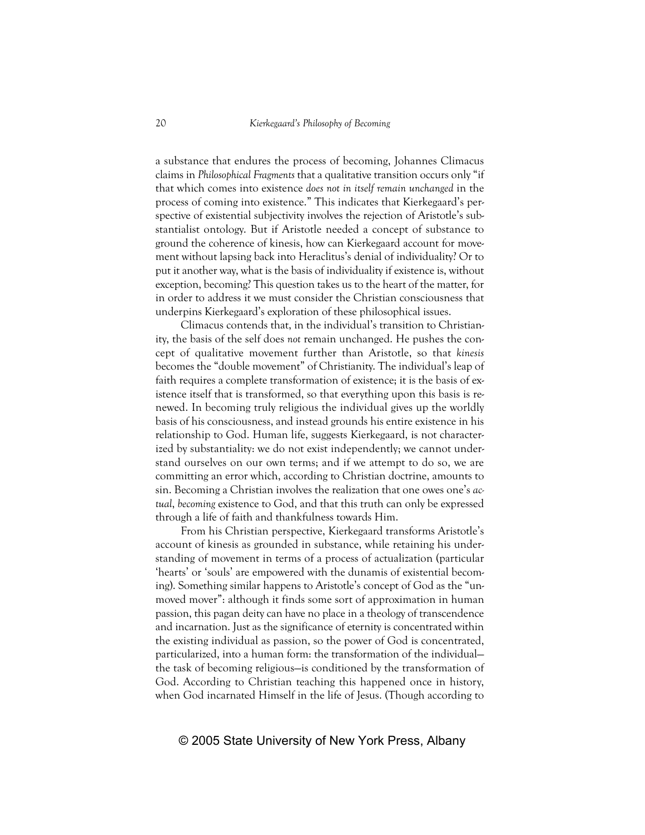a substance that endures the process of becoming, Johannes Climacus claims in *Philosophical Fragments* that a qualitative transition occurs only "if that which comes into existence *does not in itself remain unchanged* in the process of coming into existence." This indicates that Kierkegaard's perspective of existential subjectivity involves the rejection of Aristotle's substantialist ontology. But if Aristotle needed a concept of substance to ground the coherence of kinesis, how can Kierkegaard account for movement without lapsing back into Heraclitus's denial of individuality? Or to put it another way, what is the basis of individuality if existence is, without exception, becoming? This question takes us to the heart of the matter, for in order to address it we must consider the Christian consciousness that underpins Kierkegaard's exploration of these philosophical issues.

Climacus contends that, in the individual's transition to Christianity, the basis of the self does *not* remain unchanged. He pushes the concept of qualitative movement further than Aristotle, so that *kinesis* becomes the "double movement" of Christianity. The individual's leap of faith requires a complete transformation of existence; it is the basis of existence itself that is transformed, so that everything upon this basis is renewed. In becoming truly religious the individual gives up the worldly basis of his consciousness, and instead grounds his entire existence in his relationship to God. Human life, suggests Kierkegaard, is not characterized by substantiality: we do not exist independently; we cannot understand ourselves on our own terms; and if we attempt to do so, we are committing an error which, according to Christian doctrine, amounts to sin. Becoming a Christian involves the realization that one owes one's *actual*, *becoming* existence to God, and that this truth can only be expressed through a life of faith and thankfulness towards Him.

From his Christian perspective, Kierkegaard transforms Aristotle's account of kinesis as grounded in substance, while retaining his understanding of movement in terms of a process of actualization (particular 'hearts' or 'souls' are empowered with the dunamis of existential becoming). Something similar happens to Aristotle's concept of God as the "unmoved mover": although it finds some sort of approximation in human passion, this pagan deity can have no place in a theology of transcendence and incarnation. Just as the significance of eternity is concentrated within the existing individual as passion, so the power of God is concentrated, particularized, into a human form: the transformation of the individual the task of becoming religious—is conditioned by the transformation of God. According to Christian teaching this happened once in history, when God incarnated Himself in the life of Jesus. (Though according to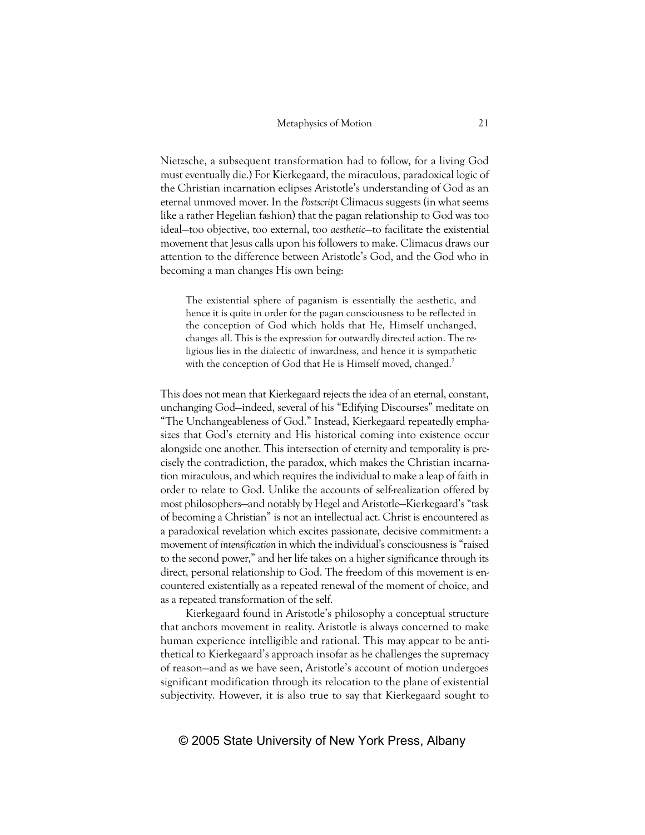Nietzsche, a subsequent transformation had to follow, for a living God must eventually die.) For Kierkegaard, the miraculous, paradoxical logic of the Christian incarnation eclipses Aristotle's understanding of God as an eternal unmoved mover. In the *Postscript* Climacus suggests (in what seems like a rather Hegelian fashion) that the pagan relationship to God was too ideal—too objective, too external, too *aesthetic*—to facilitate the existential movement that Jesus calls upon his followers to make. Climacus draws our attention to the difference between Aristotle's God, and the God who in becoming a man changes His own being:

The existential sphere of paganism is essentially the aesthetic, and hence it is quite in order for the pagan consciousness to be reflected in the conception of God which holds that He, Himself unchanged, changes all. This is the expression for outwardly directed action. The religious lies in the dialectic of inwardness, and hence it is sympathetic with the conception of God that He is Himself moved, changed.<sup>7</sup>

This does not mean that Kierkegaard rejects the idea of an eternal, constant, unchanging God—indeed, several of his "Edifying Discourses" meditate on "The Unchangeableness of God." Instead, Kierkegaard repeatedly emphasizes that God's eternity and His historical coming into existence occur alongside one another. This intersection of eternity and temporality is precisely the contradiction, the paradox, which makes the Christian incarnation miraculous, and which requires the individual to make a leap of faith in order to relate to God. Unlike the accounts of self-realization offered by most philosophers—and notably by Hegel and Aristotle—Kierkegaard's "task of becoming a Christian" is not an intellectual act. Christ is encountered as a paradoxical revelation which excites passionate, decisive commitment: a movement of *intensification* in which the individual's consciousness is "raised to the second power," and her life takes on a higher significance through its direct, personal relationship to God. The freedom of this movement is encountered existentially as a repeated renewal of the moment of choice, and as a repeated transformation of the self.

Kierkegaard found in Aristotle's philosophy a conceptual structure that anchors movement in reality. Aristotle is always concerned to make human experience intelligible and rational. This may appear to be antithetical to Kierkegaard's approach insofar as he challenges the supremacy of reason—and as we have seen, Aristotle's account of motion undergoes significant modification through its relocation to the plane of existential subjectivity. However, it is also true to say that Kierkegaard sought to